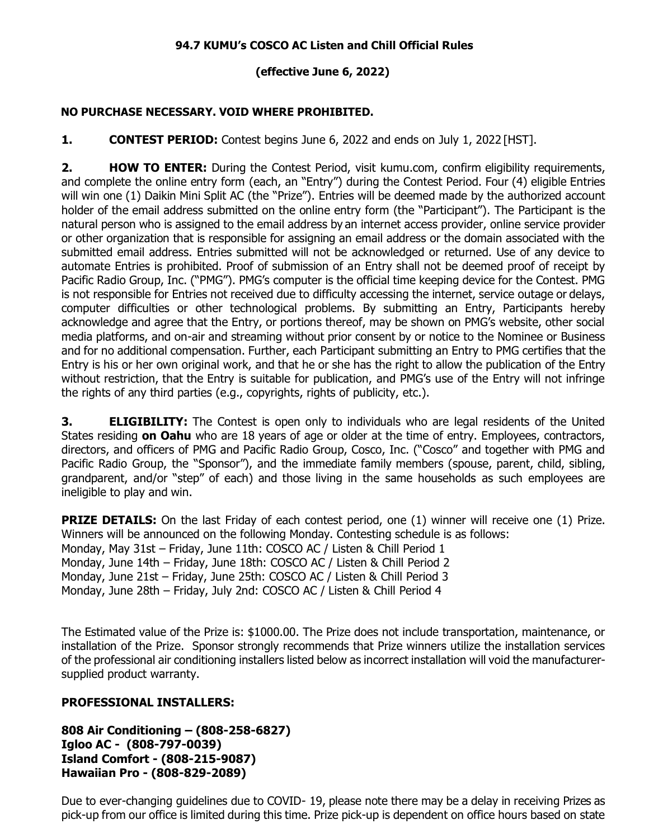## **94.7 KUMU's COSCO AC Listen and Chill Official Rules**

## **(effective June 6, 2022)**

## **NO PURCHASE NECESSARY. VOID WHERE PROHIBITED.**

**1. CONTEST PERIOD:** Contest begins June 6, 2022 and ends on July 1, 2022 [HST].

**2. HOW TO ENTER:** During the Contest Period, visit kumu.com, confirm eligibility requirements, and complete the online entry form (each, an "Entry") during the Contest Period. Four (4) eligible Entries will win one (1) Daikin Mini Split AC (the "Prize"). Entries will be deemed made by the authorized account holder of the email address submitted on the online entry form (the "Participant"). The Participant is the natural person who is assigned to the email address by an internet access provider, online service provider or other organization that is responsible for assigning an email address or the domain associated with the submitted email address. Entries submitted will not be acknowledged or returned. Use of any device to automate Entries is prohibited. Proof of submission of an Entry shall not be deemed proof of receipt by Pacific Radio Group, Inc. ("PMG"). PMG's computer is the official time keeping device for the Contest. PMG is not responsible for Entries not received due to difficulty accessing the internet, service outage or delays, computer difficulties or other technological problems. By submitting an Entry, Participants hereby acknowledge and agree that the Entry, or portions thereof, may be shown on PMG's website, other social media platforms, and on-air and streaming without prior consent by or notice to the Nominee or Business and for no additional compensation. Further, each Participant submitting an Entry to PMG certifies that the Entry is his or her own original work, and that he or she has the right to allow the publication of the Entry without restriction, that the Entry is suitable for publication, and PMG's use of the Entry will not infringe the rights of any third parties (e.g., copyrights, rights of publicity, etc.).

**3. ELIGIBILITY:** The Contest is open only to individuals who are legal residents of the United States residing **on Oahu** who are 18 years of age or older at the time of entry. Employees, contractors, directors, and officers of PMG and Pacific Radio Group, Cosco, Inc. ("Cosco" and together with PMG and Pacific Radio Group, the "Sponsor"), and the immediate family members (spouse, parent, child, sibling, grandparent, and/or "step" of each) and those living in the same households as such employees are ineligible to play and win.

**PRIZE DETAILS:** On the last Friday of each contest period, one (1) winner will receive one (1) Prize. Winners will be announced on the following Monday. Contesting schedule is as follows: Monday, May 31st – Friday, June 11th: COSCO AC / Listen & Chill Period 1 Monday, June 14th – Friday, June 18th: COSCO AC / Listen & Chill Period 2 Monday, June 21st – Friday, June 25th: COSCO AC / Listen & Chill Period 3 Monday, June 28th – Friday, July 2nd: COSCO AC / Listen & Chill Period 4

The Estimated value of the Prize is: \$1000.00. The Prize does not include transportation, maintenance, or installation of the Prize. Sponsor strongly recommends that Prize winners utilize the installation services of the professional air conditioning installers listed below as incorrect installation will void the manufacturersupplied product warranty.

## **PROFESSIONAL INSTALLERS:**

**808 Air Conditioning – (808-258-6827) Igloo AC - (808-797-0039) Island Comfort - (808-215-9087) Hawaiian Pro - (808-829-2089)**

Due to ever-changing guidelines due to COVID- 19, please note there may be a delay in receiving Prizes as pick-up from our office is limited during this time. Prize pick-up is dependent on office hours based on state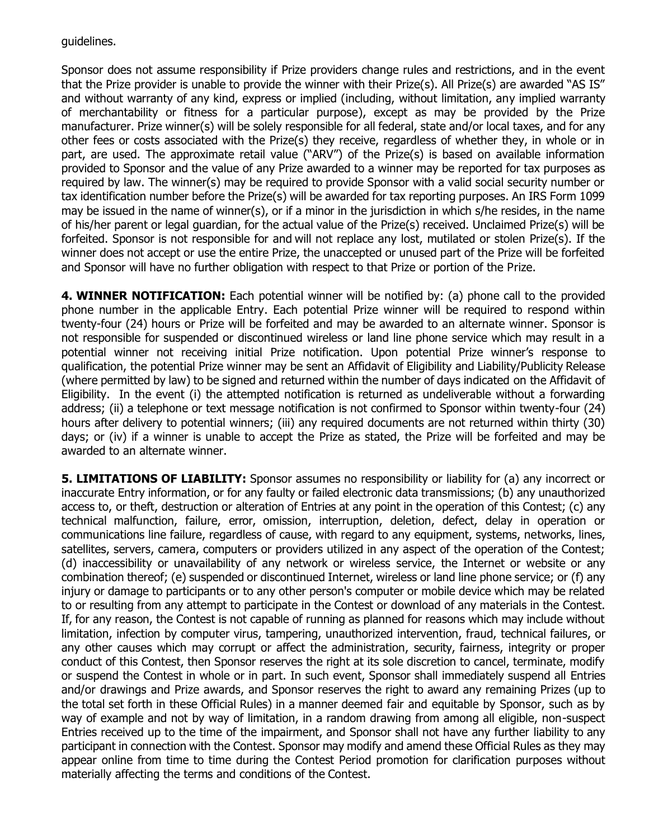guidelines.

Sponsor does not assume responsibility if Prize providers change rules and restrictions, and in the event that the Prize provider is unable to provide the winner with their Prize(s). All Prize(s) are awarded "AS IS" and without warranty of any kind, express or implied (including, without limitation, any implied warranty of merchantability or fitness for a particular purpose), except as may be provided by the Prize manufacturer. Prize winner(s) will be solely responsible for all federal, state and/or local taxes, and for any other fees or costs associated with the Prize(s) they receive, regardless of whether they, in whole or in part, are used. The approximate retail value ("ARV") of the Prize(s) is based on available information provided to Sponsor and the value of any Prize awarded to a winner may be reported for tax purposes as required by law. The winner(s) may be required to provide Sponsor with a valid social security number or tax identification number before the Prize(s) will be awarded for tax reporting purposes. An IRS Form 1099 may be issued in the name of winner(s), or if a minor in the jurisdiction in which s/he resides, in the name of his/her parent or legal guardian, for the actual value of the Prize(s) received. Unclaimed Prize(s) will be forfeited. Sponsor is not responsible for and will not replace any lost, mutilated or stolen Prize(s). If the winner does not accept or use the entire Prize, the unaccepted or unused part of the Prize will be forfeited and Sponsor will have no further obligation with respect to that Prize or portion of the Prize.

**4. WINNER NOTIFICATION:** Each potential winner will be notified by: (a) phone call to the provided phone number in the applicable Entry. Each potential Prize winner will be required to respond within twenty-four (24) hours or Prize will be forfeited and may be awarded to an alternate winner. Sponsor is not responsible for suspended or discontinued wireless or land line phone service which may result in a potential winner not receiving initial Prize notification. Upon potential Prize winner's response to qualification, the potential Prize winner may be sent an Affidavit of Eligibility and Liability/Publicity Release (where permitted by law) to be signed and returned within the number of days indicated on the Affidavit of Eligibility. In the event (i) the attempted notification is returned as undeliverable without a forwarding address; (ii) a telephone or text message notification is not confirmed to Sponsor within twenty-four (24) hours after delivery to potential winners; (iii) any required documents are not returned within thirty (30) days; or (iv) if a winner is unable to accept the Prize as stated, the Prize will be forfeited and may be awarded to an alternate winner.

**5. LIMITATIONS OF LIABILITY:** Sponsor assumes no responsibility or liability for (a) any incorrect or inaccurate Entry information, or for any faulty or failed electronic data transmissions; (b) any unauthorized access to, or theft, destruction or alteration of Entries at any point in the operation of this Contest; (c) any technical malfunction, failure, error, omission, interruption, deletion, defect, delay in operation or communications line failure, regardless of cause, with regard to any equipment, systems, networks, lines, satellites, servers, camera, computers or providers utilized in any aspect of the operation of the Contest; (d) inaccessibility or unavailability of any network or wireless service, the Internet or website or any combination thereof; (e) suspended or discontinued Internet, wireless or land line phone service; or (f) any injury or damage to participants or to any other person's computer or mobile device which may be related to or resulting from any attempt to participate in the Contest or download of any materials in the Contest. If, for any reason, the Contest is not capable of running as planned for reasons which may include without limitation, infection by computer virus, tampering, unauthorized intervention, fraud, technical failures, or any other causes which may corrupt or affect the administration, security, fairness, integrity or proper conduct of this Contest, then Sponsor reserves the right at its sole discretion to cancel, terminate, modify or suspend the Contest in whole or in part. In such event, Sponsor shall immediately suspend all Entries and/or drawings and Prize awards, and Sponsor reserves the right to award any remaining Prizes (up to the total set forth in these Official Rules) in a manner deemed fair and equitable by Sponsor, such as by way of example and not by way of limitation, in a random drawing from among all eligible, non-suspect Entries received up to the time of the impairment, and Sponsor shall not have any further liability to any participant in connection with the Contest. Sponsor may modify and amend these Official Rules as they may appear online from time to time during the Contest Period promotion for clarification purposes without materially affecting the terms and conditions of the Contest.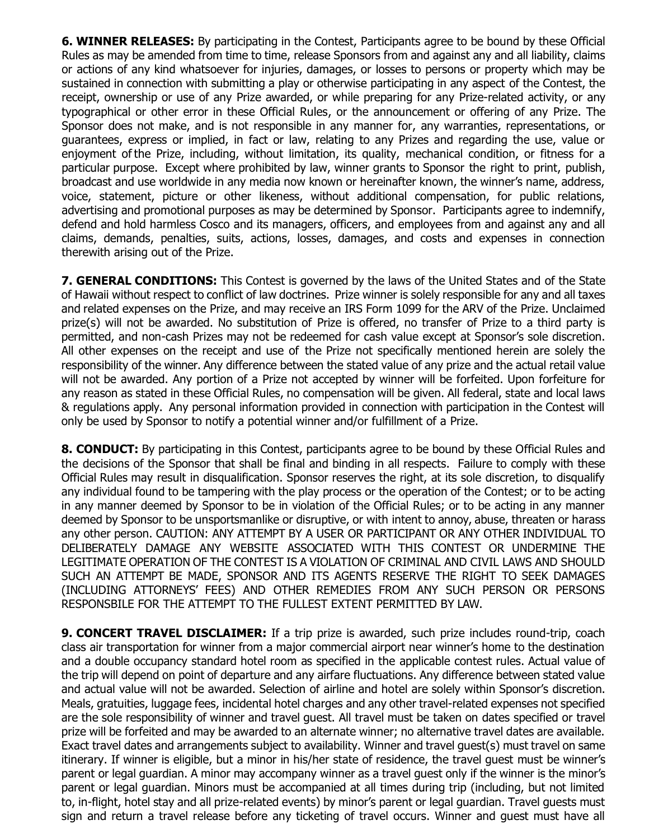**6. WINNER RELEASES:** By participating in the Contest, Participants agree to be bound by these Official Rules as may be amended from time to time, release Sponsors from and against any and all liability, claims or actions of any kind whatsoever for injuries, damages, or losses to persons or property which may be sustained in connection with submitting a play or otherwise participating in any aspect of the Contest, the receipt, ownership or use of any Prize awarded, or while preparing for any Prize-related activity, or any typographical or other error in these Official Rules, or the announcement or offering of any Prize. The Sponsor does not make, and is not responsible in any manner for, any warranties, representations, or guarantees, express or implied, in fact or law, relating to any Prizes and regarding the use, value or enjoyment of the Prize, including, without limitation, its quality, mechanical condition, or fitness for a particular purpose. Except where prohibited by law, winner grants to Sponsor the right to print, publish, broadcast and use worldwide in any media now known or hereinafter known, the winner's name, address, voice, statement, picture or other likeness, without additional compensation, for public relations, advertising and promotional purposes as may be determined by Sponsor. Participants agree to indemnify, defend and hold harmless Cosco and its managers, officers, and employees from and against any and all claims, demands, penalties, suits, actions, losses, damages, and costs and expenses in connection therewith arising out of the Prize.

**7. GENERAL CONDITIONS:** This Contest is governed by the laws of the United States and of the State of Hawaii without respect to conflict of law doctrines. Prize winner is solely responsible for any and all taxes and related expenses on the Prize, and may receive an IRS Form 1099 for the ARV of the Prize. Unclaimed prize(s) will not be awarded. No substitution of Prize is offered, no transfer of Prize to a third party is permitted, and non-cash Prizes may not be redeemed for cash value except at Sponsor's sole discretion. All other expenses on the receipt and use of the Prize not specifically mentioned herein are solely the responsibility of the winner. Any difference between the stated value of any prize and the actual retail value will not be awarded. Any portion of a Prize not accepted by winner will be forfeited. Upon forfeiture for any reason as stated in these Official Rules, no compensation will be given. All federal, state and local laws & regulations apply. Any personal information provided in connection with participation in the Contest will only be used by Sponsor to notify a potential winner and/or fulfillment of a Prize.

**8. CONDUCT:** By participating in this Contest, participants agree to be bound by these Official Rules and the decisions of the Sponsor that shall be final and binding in all respects. Failure to comply with these Official Rules may result in disqualification. Sponsor reserves the right, at its sole discretion, to disqualify any individual found to be tampering with the play process or the operation of the Contest; or to be acting in any manner deemed by Sponsor to be in violation of the Official Rules; or to be acting in any manner deemed by Sponsor to be unsportsmanlike or disruptive, or with intent to annoy, abuse, threaten or harass any other person. CAUTION: ANY ATTEMPT BY A USER OR PARTICIPANT OR ANY OTHER INDIVIDUAL TO DELIBERATELY DAMAGE ANY WEBSITE ASSOCIATED WITH THIS CONTEST OR UNDERMINE THE LEGITIMATE OPERATION OF THE CONTEST IS A VIOLATION OF CRIMINAL AND CIVIL LAWS AND SHOULD SUCH AN ATTEMPT BE MADE, SPONSOR AND ITS AGENTS RESERVE THE RIGHT TO SEEK DAMAGES (INCLUDING ATTORNEYS' FEES) AND OTHER REMEDIES FROM ANY SUCH PERSON OR PERSONS RESPONSBILE FOR THE ATTEMPT TO THE FULLEST EXTENT PERMITTED BY LAW.

**9. CONCERT TRAVEL DISCLAIMER:** If a trip prize is awarded, such prize includes round-trip, coach class air transportation for winner from a major commercial airport near winner's home to the destination and a double occupancy standard hotel room as specified in the applicable contest rules. Actual value of the trip will depend on point of departure and any airfare fluctuations. Any difference between stated value and actual value will not be awarded. Selection of airline and hotel are solely within Sponsor's discretion. Meals, gratuities, luggage fees, incidental hotel charges and any other travel-related expenses not specified are the sole responsibility of winner and travel guest. All travel must be taken on dates specified or travel prize will be forfeited and may be awarded to an alternate winner; no alternative travel dates are available. Exact travel dates and arrangements subject to availability. Winner and travel guest(s) must travel on same itinerary. If winner is eligible, but a minor in his/her state of residence, the travel guest must be winner's parent or legal guardian. A minor may accompany winner as a travel guest only if the winner is the minor's parent or legal guardian. Minors must be accompanied at all times during trip (including, but not limited to, in-flight, hotel stay and all prize-related events) by minor's parent or legal guardian. Travel guests must sign and return a travel release before any ticketing of travel occurs. Winner and guest must have all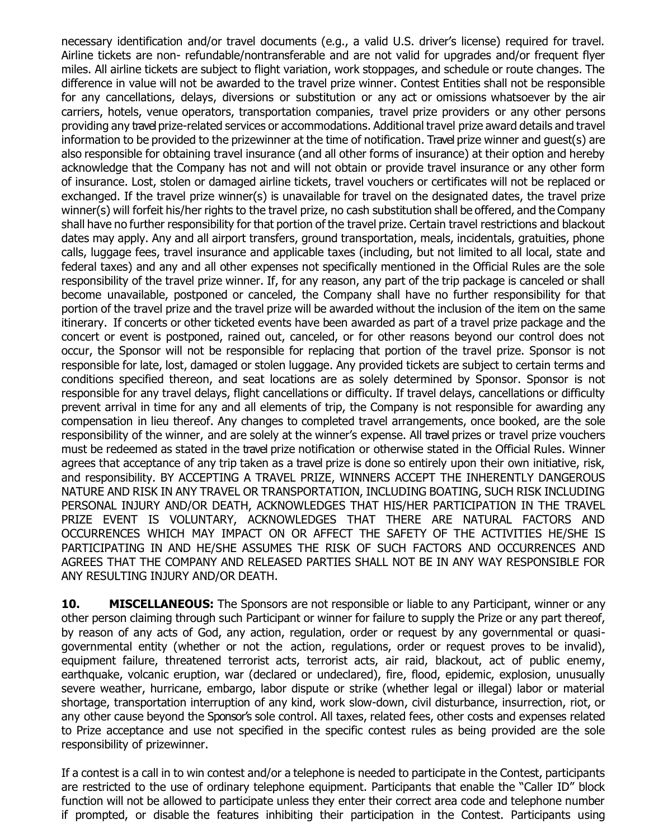necessary identification and/or travel documents (e.g., a valid U.S. driver's license) required for travel. Airline tickets are non- refundable/nontransferable and are not valid for upgrades and/or frequent flyer miles. All airline tickets are subject to flight variation, work stoppages, and schedule or route changes. The difference in value will not be awarded to the travel prize winner. Contest Entities shall not be responsible for any cancellations, delays, diversions or substitution or any act or omissions whatsoever by the air carriers, hotels, venue operators, transportation companies, travel prize providers or any other persons providing any travel prize-related services or accommodations. Additional travel prize award details and travel information to be provided to the prizewinner at the time of notification. Travel prize winner and guest(s) are also responsible for obtaining travel insurance (and all other forms of insurance) at their option and hereby acknowledge that the Company has not and will not obtain or provide travel insurance or any other form of insurance. Lost, stolen or damaged airline tickets, travel vouchers or certificates will not be replaced or exchanged. If the travel prize winner(s) is unavailable for travel on the designated dates, the travel prize winner(s) will forfeit his/her rights to the travel prize, no cash substitution shall be offered, and the Company shall have no further responsibility for that portion of the travel prize. Certain travel restrictions and blackout dates may apply. Any and all airport transfers, ground transportation, meals, incidentals, gratuities, phone calls, luggage fees, travel insurance and applicable taxes (including, but not limited to all local, state and federal taxes) and any and all other expenses not specifically mentioned in the Official Rules are the sole responsibility of the travel prize winner. If, for any reason, any part of the trip package is canceled or shall become unavailable, postponed or canceled, the Company shall have no further responsibility for that portion of the travel prize and the travel prize will be awarded without the inclusion of the item on the same itinerary. If concerts or other ticketed events have been awarded as part of a travel prize package and the concert or event is postponed, rained out, canceled, or for other reasons beyond our control does not occur, the Sponsor will not be responsible for replacing that portion of the travel prize. Sponsor is not responsible for late, lost, damaged or stolen luggage. Any provided tickets are subject to certain terms and conditions specified thereon, and seat locations are as solely determined by Sponsor. Sponsor is not responsible for any travel delays, flight cancellations or difficulty. If travel delays, cancellations or difficulty prevent arrival in time for any and all elements of trip, the Company is not responsible for awarding any compensation in lieu thereof. Any changes to completed travel arrangements, once booked, are the sole responsibility of the winner, and are solely at the winner's expense. All travel prizes or travel prize vouchers must be redeemed as stated in the travel prize notification or otherwise stated in the Official Rules. Winner agrees that acceptance of any trip taken as a travel prize is done so entirely upon their own initiative, risk, and responsibility. BY ACCEPTING A TRAVEL PRIZE, WINNERS ACCEPT THE INHERENTLY DANGEROUS NATURE AND RISK IN ANY TRAVEL OR TRANSPORTATION, INCLUDING BOATING, SUCH RISK INCLUDING PERSONAL INJURY AND/OR DEATH, ACKNOWLEDGES THAT HIS/HER PARTICIPATION IN THE TRAVEL PRIZE EVENT IS VOLUNTARY, ACKNOWLEDGES THAT THERE ARE NATURAL FACTORS AND OCCURRENCES WHICH MAY IMPACT ON OR AFFECT THE SAFETY OF THE ACTIVITIES HE/SHE IS PARTICIPATING IN AND HE/SHE ASSUMES THE RISK OF SUCH FACTORS AND OCCURRENCES AND AGREES THAT THE COMPANY AND RELEASED PARTIES SHALL NOT BE IN ANY WAY RESPONSIBLE FOR ANY RESULTING INJURY AND/OR DEATH.

**10. MISCELLANEOUS:** The Sponsors are not responsible or liable to any Participant, winner or any other person claiming through such Participant or winner for failure to supply the Prize or any part thereof, by reason of any acts of God, any action, regulation, order or request by any governmental or quasigovernmental entity (whether or not the action, regulations, order or request proves to be invalid), equipment failure, threatened terrorist acts, terrorist acts, air raid, blackout, act of public enemy, earthquake, volcanic eruption, war (declared or undeclared), fire, flood, epidemic, explosion, unusually severe weather, hurricane, embargo, labor dispute or strike (whether legal or illegal) labor or material shortage, transportation interruption of any kind, work slow-down, civil disturbance, insurrection, riot, or any other cause beyond the Sponsor's sole control. All taxes, related fees, other costs and expenses related to Prize acceptance and use not specified in the specific contest rules as being provided are the sole responsibility of prizewinner.

If a contest is a call in to win contest and/or a telephone is needed to participate in the Contest, participants are restricted to the use of ordinary telephone equipment. Participants that enable the "Caller ID" block function will not be allowed to participate unless they enter their correct area code and telephone number if prompted, or disable the features inhibiting their participation in the Contest. Participants using